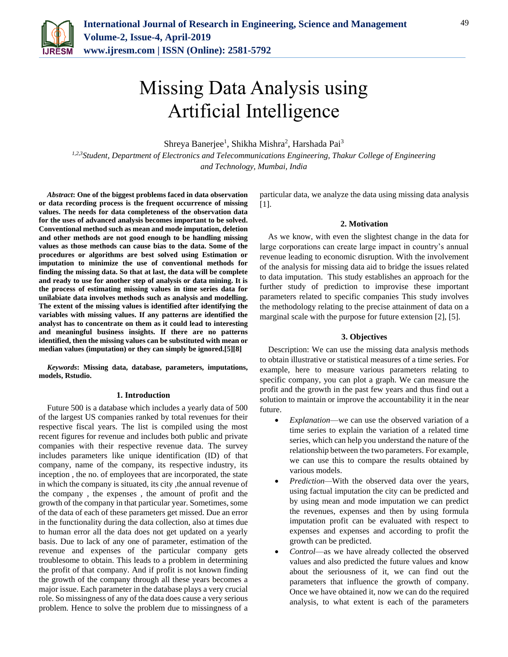

# Missing Data Analysis using Artificial Intelligence

Shreya Banerjee<sup>1</sup>, Shikha Mishra<sup>2</sup>, Harshada Pai<sup>3</sup>

*1,2,3Student, Department of Electronics and Telecommunications Engineering, Thakur College of Engineering and Technology, Mumbai, India*

*Abstract***: One of the biggest problems faced in data observation or data recording process is the frequent occurrence of missing values. The needs for data completeness of the observation data for the uses of advanced analysis becomes important to be solved. Conventional method such as mean and mode imputation, deletion and other methods are not good enough to be handling missing values as those methods can cause bias to the data. Some of the procedures or algorithms are best solved using Estimation or imputation to minimize the use of conventional methods for finding the missing data. So that at last, the data will be complete and ready to use for another step of analysis or data mining. It is the process of estimating missing values in time series data for unilabiate data involves methods such as analysis and modelling. The extent of the missing values is identified after identifying the variables with missing values. If any patterns are identified the analyst has to concentrate on them as it could lead to interesting and meaningful business insights. If there are no patterns identified, then the missing values can be substituted with mean or median values (imputation) or they can simply be ignored.[5][8]**

*Keywords***: Missing data, database, parameters, imputations, models, Rstudio.**

## **1. Introduction**

Future 500 is a database which includes a yearly data of 500 of the largest US companies ranked by total revenues for their respective fiscal years. The list is compiled using the most recent figures for revenue and includes both public and private companies with their respective revenue data. The survey includes parameters like unique identification (ID) of that company, name of the company, its respective industry, its inception , the no. of employees that are incorporated, the state in which the company is situated, its city ,the annual revenue of the company , the expenses , the amount of profit and the growth of the company in that particular year. Sometimes, some of the data of each of these parameters get missed. Due an error in the functionality during the data collection, also at times due to human error all the data does not get updated on a yearly basis. Due to lack of any one of parameter, estimation of the revenue and expenses of the particular company gets troublesome to obtain. This leads to a problem in determining the profit of that company. And if profit is not known finding the growth of the company through all these years becomes a major issue. Each parameter in the database plays a very crucial role. So missingness of any of the data does cause a very serious problem. Hence to solve the problem due to missingness of a particular data, we analyze the data using missing data analysis [1].

## **2. Motivation**

As we know, with even the slightest change in the data for large corporations can create large impact in country's annual revenue leading to economic disruption. With the involvement of the analysis for missing data aid to bridge the issues related to data imputation. This study establishes an approach for the further study of prediction to improvise these important parameters related to specific companies This study involves the methodology relating to the precise attainment of data on a marginal scale with the purpose for future extension [2], [5].

## **3. Objectives**

Description: We can use the missing data analysis methods to obtain illustrative or statistical measures of a time series. For example, here to measure various parameters relating to specific company, you can plot a graph. We can measure the profit and the growth in the past few years and thus find out a solution to maintain or improve the accountability it in the near future.

- *Explanation*—we can use the observed variation of a time series to explain the variation of a related time series, which can help you understand the nature of the relationship between the two parameters. For example, we can use this to compare the results obtained by various models.
- *Prediction—*With the observed data over the years, using factual imputation the city can be predicted and by using mean and mode imputation we can predict the revenues, expenses and then by using formula imputation profit can be evaluated with respect to expenses and expenses and according to profit the growth can be predicted.
- *Control*—as we have already collected the observed values and also predicted the future values and know about the seriousness of it, we can find out the parameters that influence the growth of company. Once we have obtained it, now we can do the required analysis, to what extent is each of the parameters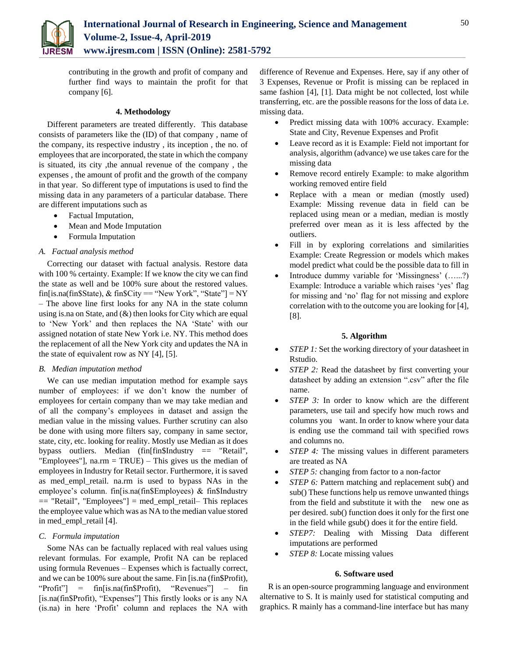

contributing in the growth and profit of company and further find ways to maintain the profit for that company [6].

## **4. Methodology**

Different parameters are treated differently. This database consists of parameters like the (ID) of that company , name of the company, its respective industry , its inception , the no. of employees that are incorporated, the state in which the company is situated, its city ,the annual revenue of the company , the expenses , the amount of profit and the growth of the company in that year. So different type of imputations is used to find the missing data in any parameters of a particular database. There are different imputations such as

- Factual Imputation,
- Mean and Mode Imputation
- Formula Imputation

## *A. Factual analysis method*

Correcting our dataset with factual analysis. Restore data with 100 % certainty. Example: If we know the city we can find the state as well and be 100% sure about the restored values. fin[is.na(fin\$State), & fin\$City == "New York", "State"] = NY – The above line first looks for any NA in the state column using is.na on State, and  $(\&)$  then looks for City which are equal to 'New York' and then replaces the NA 'State' with our assigned notation of state New York i.e. NY. This method does the replacement of all the New York city and updates the NA in the state of equivalent row as NY [4], [5].

## *B. Median imputation method*

We can use median imputation method for example says number of employees: if we don't know the number of employees for certain company than we may take median and of all the company's employees in dataset and assign the median value in the missing values. Further scrutiny can also be done with using more filters say, company in same sector, state, city, etc. looking for reality. Mostly use Median as it does bypass outliers. Median (fin[fin\$Industry == "Retail", "Employees"],  $narm = TRUE$ ) – This gives us the median of employees in Industry for Retail sector. Furthermore, it is saved as med\_empl\_retail. na.rm is used to bypass NAs in the employee's column. fin[is.na(fin\$Employees) & fin\$Industry == "Retail", "Employees"] = med\_empl\_retail– This replaces the employee value which was as NA to the median value stored in med empl retail [4].

## *C. Formula imputation*

Some NAs can be factually replaced with real values using relevant formulas. For example, Profit NA can be replaced using formula Revenues – Expenses which is factually correct, and we can be 100% sure about the same. Fin [is.na (fin\$Profit), "Profit"] = fin[is.na(fin\$Profit), "Revenues"] – fin [is.na(fin\$Profit), "Expenses"] This firstly looks or is any NA (is.na) in here 'Profit' column and replaces the NA with

difference of Revenue and Expenses. Here, say if any other of 3 Expenses, Revenue or Profit is missing can be replaced in same fashion [4], [1]. Data might be not collected, lost while transferring, etc. are the possible reasons for the loss of data i.e. missing data.

- Predict missing data with 100% accuracy. Example: State and City, Revenue Expenses and Profit
- Leave record as it is Example: Field not important for analysis, algorithm (advance) we use takes care for the missing data
- Remove record entirely Example: to make algorithm working removed entire field
- Replace with a mean or median (mostly used) Example: Missing revenue data in field can be replaced using mean or a median, median is mostly preferred over mean as it is less affected by the outliers.
- Fill in by exploring correlations and similarities Example: Create Regression or models which makes model predict what could be the possible data to fill in
- Introduce dummy variable for 'Missingness' (…...?) Example: Introduce a variable which raises 'yes' flag for missing and 'no' flag for not missing and explore correlation with to the outcome you are looking for [4], [8].

## **5. Algorithm**

- *STEP 1:* Set the working directory of your datasheet in Rstudio.
- *STEP 2:* Read the datasheet by first converting your datasheet by adding an extension ".csv" after the file name.
- *STEP 3:* In order to know which are the different parameters, use tail and specify how much rows and columns you want. In order to know where your data is ending use the command tail with specified rows and columns no.
- *STEP 4:* The missing values in different parameters are treated as NA
- *STEP 5:* changing from factor to a non-factor
- *STEP 6:* Pattern matching and replacement sub() and sub() These functions help us remove unwanted things from the field and substitute it with the new one as per desired. sub() function does it only for the first one in the field while gsub() does it for the entire field.
- *STEP7:* Dealing with Missing Data different imputations are performed
- *STEP 8:* Locate missing values

## **6. Software used**

R is an open-source programming language and environment alternative to S. It is mainly used for statistical computing and graphics. R mainly has a command-line interface but has many